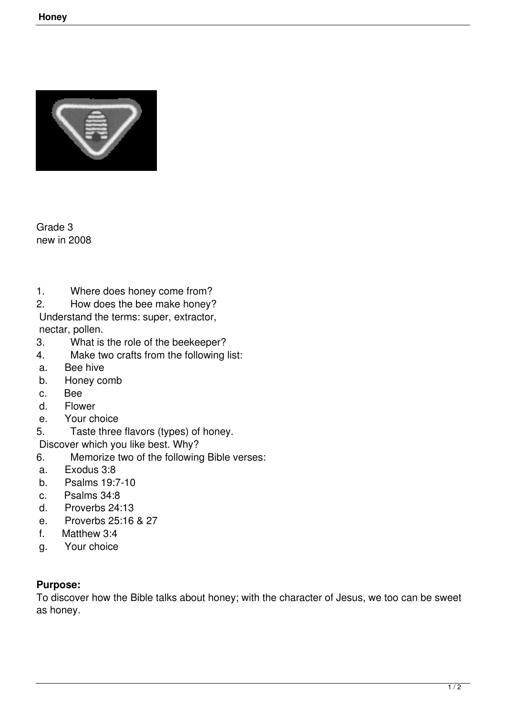

Grade 3 new in 2008

- 1. Where does honey come from?<br>2 How does the bee make honey?
- How does the bee make honey?

 Understand the terms: super, extractor, nectar, pollen.

- 3. What is the role of the beekeeper?
- 4. Make two crafts from the following list:
- a. Bee hive
- b. Honey comb
- c. Bee<br>d Flow
- **Flower**
- e. Your choice

5. Taste three flavors (types) of honey.

- Discover which you like best. Why?
- 6. Memorize two of the following Bible verses:
- a. Exodus 3:8
- b. Psalms 19:7-10
- c. Psalms 34:8
- d. Proverbs 24:13
- e. Proverbs 25:16 & 27
- f. Matthew 3:4
- g. Your choice

## **Purpose:**

To discover how the Bible talks about honey; with the character of Jesus, we too can be sweet as honey.